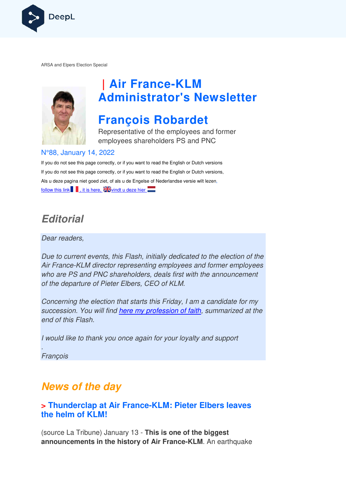

ARSA and Elpers Election Special



# **| Air France France-KLM Administrator's Newsletter**

## **François Robardet**

Representative of the employees and former employees shareholders PS and PNC

#### N°88, January 14, 2022

If you do not see this page correctly, or if you want to read the English or Dutch versions If you do not see this page correctly, or if you want to read the English or Dutch versions, If you do not see this page correctly, or if you want to read the English or Dutch versior<br>Als u deze pagina niet goed ziet, of als u de Engelse of Nederlandse versie wilt lezen, follow this link  $\blacksquare$ , it is here,  $\geq$  vindt u deze hier

### **Editorial**

Dear readers,

Due to current events, this Flash, initially dedicated to the election of the Air France-KLM director representing employees and former employees who are PS and PNC shareholders, deals first with the announcement Air France-KLM director representing employee<br>who are PS and PNC shareholders, deals first t<br>of the departure of Pieter Elbers, CEO of KLM.

Concerning the election that starts this Friday, I am a candidate for my succession. You will find here my profession of faith, summarized at the end of this Flash.

I would like to thank you once again for your loyalty and support

François

.

## **News of the day**

#### **> Thunderclap at Air France-KLM: Pieter Elbers leaves the helm of KLM!**

(source La Tribune) January 13 - **This is one of the biggest announcements in the history of Air France France-KLM**. An earthquake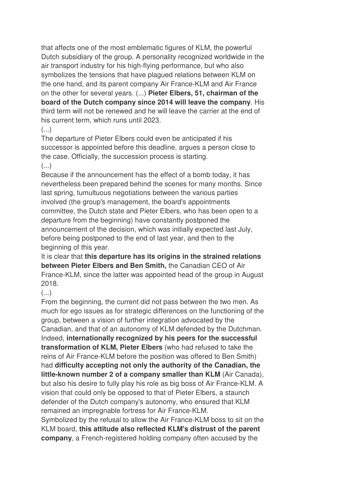that affects one of the most emblematic figures of KLM, the powerful Dutch subsidiary of the group. A personality recognized worldwide in the air transport industry for his high-flying performance, but who also symbolizes the tensions that have plagued relations between KLM on the one hand, and its parent company Air France-KLM and Air France on the other for several years. (...) **Pieter Elbers, 51, chairman of the board of the Dutch company since 2014 will leave the company**. His third term will not be renewed and he will leave the carrier at the end of his current term, which runs until 2023.

#### (...)

The departure of Pieter Elbers could even be anticipated if his successor is appointed before this deadline, argues a person close to the case. Officially, the succession process is starting.

#### (...)

Because if the announcement has the effect of a bomb today, it has nevertheless been prepared behind the scenes for many months. Since last spring, tumultuous negotiations between the various parties involved (the group's management, the board's appointments committee, the Dutch state and Pieter Elbers, who has been open to a departure from the beginning) have constantly postponed the announcement of the decision, which was initially expected last July, before being postponed to the end of last year, and then to the beginning of this year.

It is clear that **this departure has its origins in the strained relations between Pieter Elbers and Ben Smith,** the Canadian CEO of Air France-KLM, since the latter was appointed head of the group in August 2018.

### (...)

From the beginning, the current did not pass between the two men. As much for ego issues as for strategic differences on the functioning of the group, between a vision of further integration advocated by the Canadian, and that of an autonomy of KLM defended by the Dutchman. Indeed, **internationally recognized by his peers for the successful transformation of KLM, Pieter Elbers** (who had refused to take the reins of Air France-KLM before the position was offered to Ben Smith) had **difficulty accepting not only the authority of the Canadian, the little-known number 2 of a company smaller than KLM** (Air Canada), but also his desire to fully play his role as big boss of Air France-KLM. A vision that could only be opposed to that of Pieter Elbers, a staunch defender of the Dutch company's autonomy, who ensured that KLM remained an impregnable fortress for Air France-KLM.

Symbolized by the refusal to allow the Air France-KLM boss to sit on the KLM board, **this attitude also reflected KLM's distrust of the parent company**, a French-registered holding company often accused by the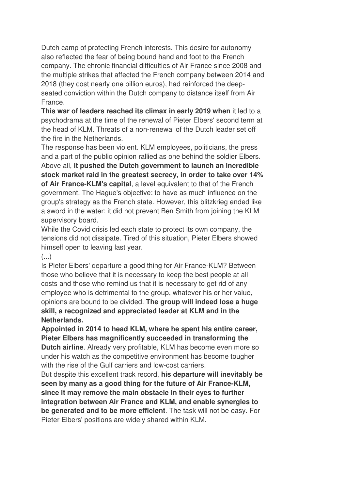Dutch camp of protecting French interests. This desire for autonomy also reflected the fear of being bound hand and foot to the French company. The chronic financial difficulties of Air France since 2008 and the multiple strikes that affected the French company between 2014 and 2018 (they cost nearly one billion euros), had reinforced the deepseated conviction within the Dutch company to distance itself from Air France.

**This war of leaders reached its climax in early 2019 when** it led to a psychodrama at the time of the renewal of Pieter Elbers' second term at the head of KLM. Threats of a non-renewal of the Dutch leader set off the fire in the Netherlands.

The response has been violent. KLM employees, politicians, the press and a part of the public opinion rallied as one behind the soldier Elbers. Above all, **it pushed the Dutch government to launch an incredible stock market raid in the greatest secrecy, in order to take over 14% of Air France-KLM's capital**, a level equivalent to that of the French government. The Hague's objective: to have as much influence on the group's strategy as the French state. However, this blitzkrieg ended like a sword in the water: it did not prevent Ben Smith from joining the KLM supervisory board.

While the Covid crisis led each state to protect its own company, the tensions did not dissipate. Tired of this situation, Pieter Elbers showed himself open to leaving last year.

#### $\left( \ldots \right)$

Is Pieter Elbers' departure a good thing for Air France-KLM? Between those who believe that it is necessary to keep the best people at all costs and those who remind us that it is necessary to get rid of any employee who is detrimental to the group, whatever his or her value, opinions are bound to be divided. **The group will indeed lose a huge skill, a recognized and appreciated leader at KLM and in the Netherlands.** 

**Appointed in 2014 to head KLM, where he spent his entire career, Pieter Elbers has magnificently succeeded in transforming the Dutch airline**. Already very profitable, KLM has become even more so under his watch as the competitive environment has become tougher with the rise of the Gulf carriers and low-cost carriers.

But despite this excellent track record, **his departure will inevitably be seen by many as a good thing for the future of Air France-KLM, since it may remove the main obstacle in their eyes to further integration between Air France and KLM, and enable synergies to be generated and to be more efficient**. The task will not be easy. For Pieter Elbers' positions are widely shared within KLM.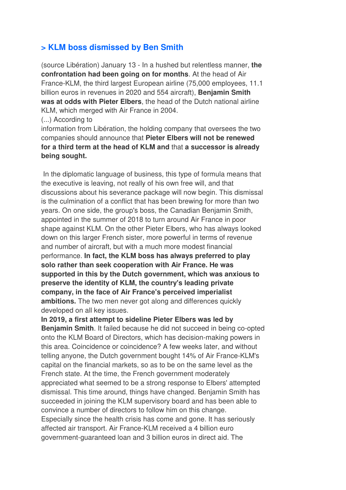#### **> KLM boss dismissed by Ben Smith**

(source Libération) January 13 - In a hushed but relentless manner, **the confrontation had been going on for months**. At the head of Air France-KLM, the third largest European airline (75,000 employees, 11.1 billion euros in revenues in 2020 and 554 aircraft), **Benjamin Smith was at odds with Pieter Elbers**, the head of the Dutch national airline KLM, which merged with Air France in 2004.

(...) According to

information from Libération, the holding company that oversees the two companies should announce that **Pieter Elbers will not be renewed for a third term at the head of KLM and** that **a successor is already being sought.** 

 In the diplomatic language of business, this type of formula means that the executive is leaving, not really of his own free will, and that discussions about his severance package will now begin. This dismissal is the culmination of a conflict that has been brewing for more than two years. On one side, the group's boss, the Canadian Benjamin Smith, appointed in the summer of 2018 to turn around Air France in poor shape against KLM. On the other Pieter Elbers, who has always looked down on this larger French sister, more powerful in terms of revenue and number of aircraft, but with a much more modest financial performance. **In fact, the KLM boss has always preferred to play solo rather than seek cooperation with Air France. He was supported in this by the Dutch government, which was anxious to preserve the identity of KLM, the country's leading private company, in the face of Air France's perceived imperialist ambitions.** The two men never got along and differences quickly developed on all key issues.

**In 2019, a first attempt to sideline Pieter Elbers was led by Benjamin Smith**. It failed because he did not succeed in being co-opted onto the KLM Board of Directors, which has decision-making powers in this area. Coincidence or coincidence? A few weeks later, and without telling anyone, the Dutch government bought 14% of Air France-KLM's capital on the financial markets, so as to be on the same level as the French state. At the time, the French government moderately appreciated what seemed to be a strong response to Elbers' attempted dismissal. This time around, things have changed. Benjamin Smith has succeeded in joining the KLM supervisory board and has been able to convince a number of directors to follow him on this change. Especially since the health crisis has come and gone. It has seriously affected air transport. Air France-KLM received a 4 billion euro government-guaranteed loan and 3 billion euros in direct aid. The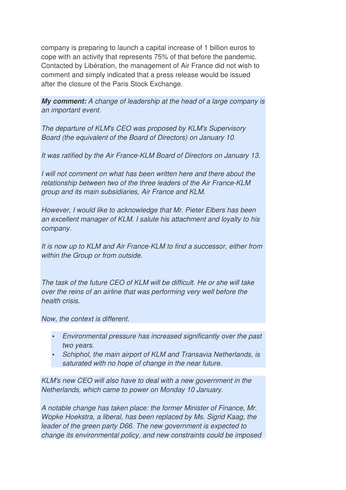company is preparing to launch a capital increase of 1 billion euros to cope with an activity that represents 75% of that before the pandemic. Contacted by Libération, the management of Air France did not wish to comment and simply indicated that a press release would be issued after the closure of the Paris Stock Exchange.

**My comment:** A change of leadership at the head of a large company is an important event.

The departure of KLM's CEO was proposed by KLM's Supervisory Board (the equivalent of the Board of Directors) on January 10.

It was ratified by the Air France-KLM Board of Directors on January 13.

I will not comment on what has been written here and there about the relationship between two of the three leaders of the Air France-KLM group and its main subsidiaries, Air France and KLM.

However, I would like to acknowledge that Mr. Pieter Elbers has been an excellent manager of KLM. I salute his attachment and loyalty to his company.

It is now up to KLM and Air France-KLM to find a successor, either from within the Group or from outside.

The task of the future CEO of KLM will be difficult. He or she will take over the reins of an airline that was performing very well before the health crisis.

Now, the context is different.

- Environmental pressure has increased significantly over the past two years.
- Schiphol, the main airport of KLM and Transavia Netherlands, is saturated with no hope of change in the near future.

KLM's new CEO will also have to deal with a new government in the Netherlands, which came to power on Monday 10 January.

A notable change has taken place: the former Minister of Finance, Mr. Wopke Hoekstra, a liberal, has been replaced by Ms. Sigrid Kaag, the leader of the green party D66. The new government is expected to change its environmental policy, and new constraints could be imposed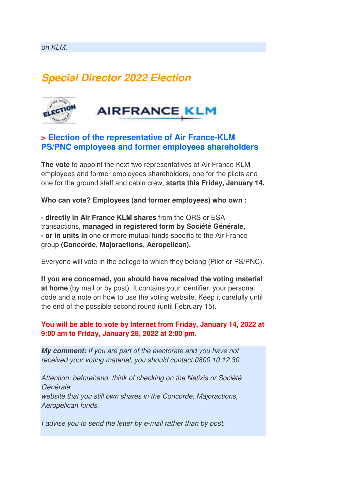## **Special Director 2022 Election**



#### **> Election of the representative of Air France-KLM PS/PNC employees and former employees shareholders**

**The vote** to appoint the next two representatives of Air France-KLM employees and former employees shareholders, one for the pilots and one for the ground staff and cabin crew, **starts this Friday, January 14.**

**Who can vote? Employees (and former employees) who own :**

**- directly in Air France KLM shares** from the ORS or ESA transactions, **managed in registered form by Société Générale, - or in units in** one or more mutual funds specific to the Air France group **(Concorde, Majoractions, Aeropelican).** 

Everyone will vote in the college to which they belong (Pilot or PS/PNC).

**If you are concerned, you should have received the voting material at home** (by mail or by post). It contains your identifier, your personal code and a note on how to use the voting website. Keep it carefully until the end of the possible second round (until February 15).

#### **You will be able to vote by Internet from Friday, January 14, 2022 at 9:00 am to Friday, January 28, 2022 at 2:00 pm.**

**My comment:** If you are part of the electorate and you have not received your voting material, you should contact 0800 10 12 30.

Attention: beforehand, think of checking on the Natixis or Société Générale website that you still own shares in the Concorde, Majoractions, Aeropelican funds.

I advise you to send the letter by e-mail rather than by post.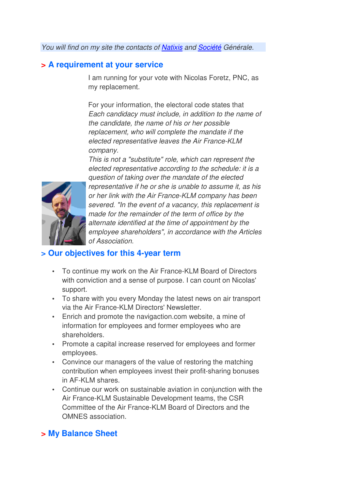You will find on my site the contacts of Natixis and Société Générale.

#### **> A requirement at your service**

I am running for your vote with Nicolas Foretz, PNC, as my replacement.

For your information, the electoral code states that Each candidacy must include, in addition to the name of the candidate, the name of his or her possible replacement, who will complete the mandate if the elected representative leaves the Air France-KLM company.

This is not a "substitute" role, which can represent the elected representative according to the schedule: it is a question of taking over the mandate of the elected representative if he or she is unable to assume it, as his or her link with the Air France-KLM company has been severed. "In the event of a vacancy, this replacement is made for the remainder of the term of office by the alternate identified at the time of appointment by the employee shareholders", in accordance with the Articles of Association.

#### **> Our objectives for this 4-year term**

- To continue my work on the Air France-KLM Board of Directors with conviction and a sense of purpose. I can count on Nicolas' support.
- To share with you every Monday the latest news on air transport via the Air France-KLM Directors' Newsletter.
- Enrich and promote the navigaction.com website, a mine of information for employees and former employees who are shareholders.
- Promote a capital increase reserved for employees and former employees.
- Convince our managers of the value of restoring the matching contribution when employees invest their profit-sharing bonuses in AF-KLM shares.
- Continue our work on sustainable aviation in conjunction with the Air France-KLM Sustainable Development teams, the CSR Committee of the Air France-KLM Board of Directors and the OMNES association.

#### **> My Balance Sheet**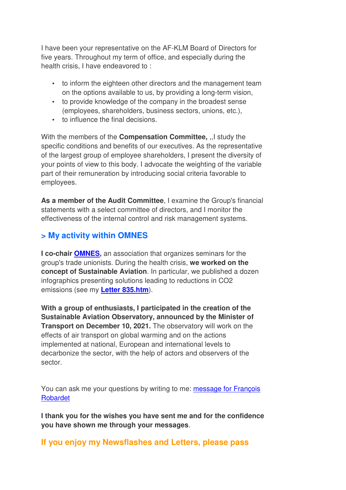I have been your representative on the AF-KLM Board of Directors for five years. Throughout my term of office, and especially during the health crisis, I have endeavored to :

- to inform the eighteen other directors and the management team on the options available to us, by providing a long-term vision,
- to provide knowledge of the company in the broadest sense (employees, shareholders, business sectors, unions, etc.),
- to influence the final decisions.

With the members of the **Compensation Committee,** ,,I study the specific conditions and benefits of our executives. As the representative of the largest group of employee shareholders, I present the diversity of your points of view to this body. I advocate the weighting of the variable part of their remuneration by introducing social criteria favorable to employees.

**As a member of the Audit Committee**, I examine the Group's financial statements with a select committee of directors, and I monitor the effectiveness of the internal control and risk management systems.

#### **> My activity within OMNES**

**I co-chair OMNES,** an association that organizes seminars for the group's trade unionists. During the health crisis, **we worked on the concept of Sustainable Aviation**. In particular, we published a dozen infographics presenting solutions leading to reductions in CO2 emissions (see my **Letter 835.htm**).

**With a group of enthusiasts, I participated in the creation of the Sustainable Aviation Observatory, announced by the Minister of Transport on December 10, 2021.** The observatory will work on the effects of air transport on global warming and on the actions implemented at national, European and international levels to decarbonize the sector, with the help of actors and observers of the sector.

You can ask me your questions by writing to me: message for François Robardet

**I thank you for the wishes you have sent me and for the confidence you have shown me through your messages**.

#### **If you enjoy my Newsflashes and Letters, please pass**